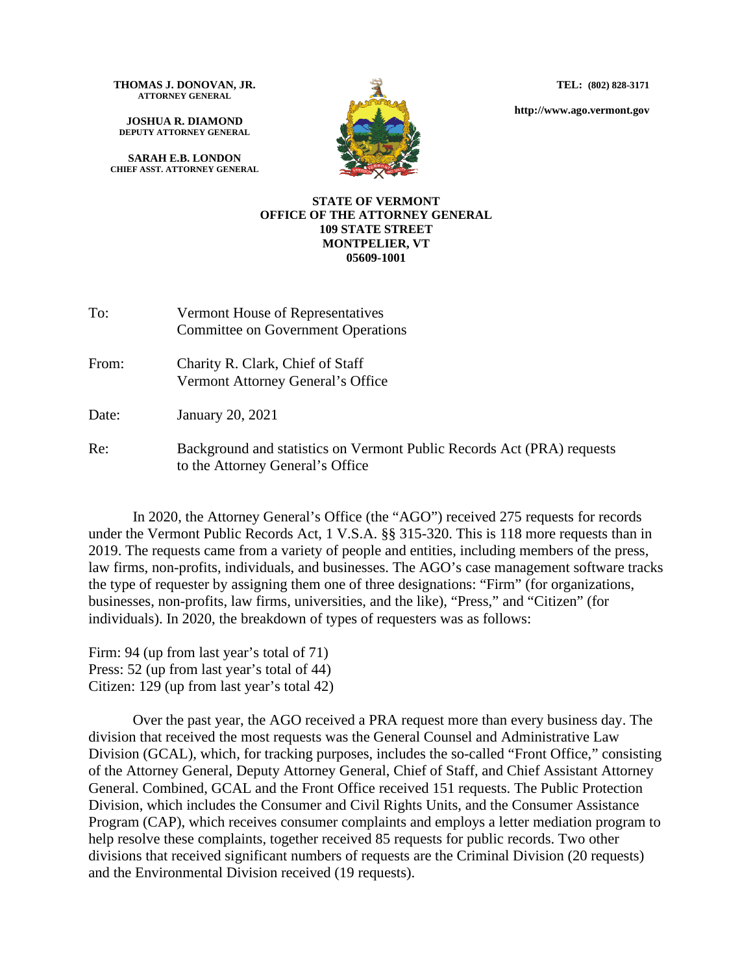**TEL: (802) 828-3171**

**http://www.ago.vermont.gov**

**THOMAS J. DONOVAN, JR. ATTORNEY GENERAL**

**JOSHUA R. DIAMOND DEPUTY ATTORNEY GENERAL**

**SARAH E.B. LONDON CHIEF ASST. ATTORNEY GENERAL**



## **STATE OF VERMONT OFFICE OF THE ATTORNEY GENERAL 109 STATE STREET MONTPELIER, VT 05609-1001**

| To:   | Vermont House of Representatives<br><b>Committee on Government Operations</b> |
|-------|-------------------------------------------------------------------------------|
| From: | Charity R. Clark, Chief of Staff<br>Vermont Attorney General's Office         |
| Date: | January 20, 2021                                                              |

Re: Background and statistics on Vermont Public Records Act (PRA) requests to the Attorney General's Office

In 2020, the Attorney General's Office (the "AGO") received 275 requests for records under the Vermont Public Records Act, 1 V.S.A. §§ 315-320. This is 118 more requests than in 2019. The requests came from a variety of people and entities, including members of the press, law firms, non-profits, individuals, and businesses. The AGO's case management software tracks the type of requester by assigning them one of three designations: "Firm" (for organizations, businesses, non-profits, law firms, universities, and the like), "Press," and "Citizen" (for individuals). In 2020, the breakdown of types of requesters was as follows:

Firm: 94 (up from last year's total of 71) Press: 52 (up from last year's total of 44) Citizen: 129 (up from last year's total 42)

Over the past year, the AGO received a PRA request more than every business day. The division that received the most requests was the General Counsel and Administrative Law Division (GCAL), which, for tracking purposes, includes the so-called "Front Office," consisting of the Attorney General, Deputy Attorney General, Chief of Staff, and Chief Assistant Attorney General. Combined, GCAL and the Front Office received 151 requests. The Public Protection Division, which includes the Consumer and Civil Rights Units, and the Consumer Assistance Program (CAP), which receives consumer complaints and employs a letter mediation program to help resolve these complaints, together received 85 requests for public records. Two other divisions that received significant numbers of requests are the Criminal Division (20 requests) and the Environmental Division received (19 requests).